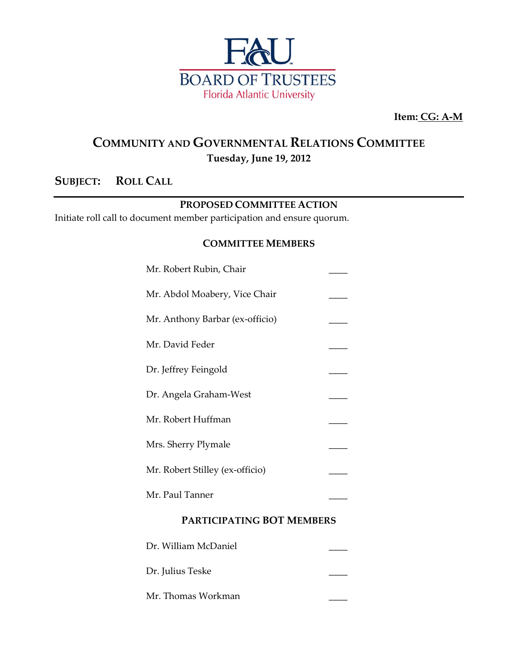

**Item: CG: A-M**

### **COMMUNITY AND GOVERNMENTAL RELATIONS COMMITTEE Tuesday, June 19, 2012**

### **SUBJECT: ROLL CALL**

#### **PROPOSED COMMITTEE ACTION**

Initiate roll call to document member participation and ensure quorum.

#### **COMMITTEE MEMBERS**

| Mr. Abdol Moabery, Vice Chair    |  |  |
|----------------------------------|--|--|
| Mr. Anthony Barbar (ex-officio)  |  |  |
| Mr. David Feder                  |  |  |
| Dr. Jeffrey Feingold             |  |  |
| Dr. Angela Graham-West           |  |  |
| Mr. Robert Huffman               |  |  |
| Mrs. Sherry Plymale              |  |  |
| Mr. Robert Stilley (ex-officio)  |  |  |
| Mr. Paul Tanner                  |  |  |
| <b>PARTICIPATING BOT MEMBERS</b> |  |  |

| Dr. William McDaniel |  |
|----------------------|--|
| Dr. Julius Teske     |  |
| Mr. Thomas Workman   |  |